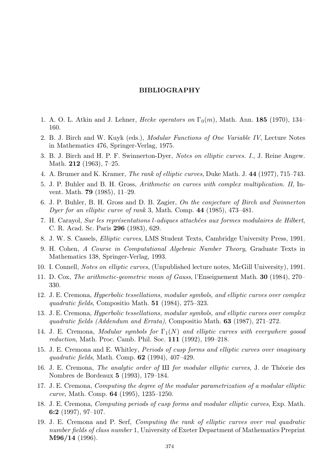## BIBLIOGRAPHY

- 1. A. O. L. Atkin and J. Lehner, *Hecke operators on*  $\Gamma_0(m)$ , Math. Ann. **185** (1970), 134– 160.
- 2. B. J. Birch and W. Kuyk (eds.), Modular Functions of One Variable IV, Lecture Notes in Mathematics 476, Springer-Verlag, 1975.
- 3. B. J. Birch and H. P. F. Swinnerton-Dyer, Notes on elliptic curves. I., J. Reine Angew. Math. **212** (1963), 7-25.
- 4. A. Brumer and K. Kramer, The rank of elliptic curves, Duke Math. J. 44 (1977), 715–743.
- 5. J. P. Buhler and B. H. Gross, Arithmetic on curves with complex multiplication. II, Invent. Math. 79 (1985), 11–29.
- 6. J. P. Buhler, B. H. Gross and D. B. Zagier, On the conjecture of Birch and Swinnerton Dyer for an elliptic curve of rank 3, Math. Comp. 44 (1985), 473–481.
- 7. H. Carayol, Sur les représentations l-adiques attachées aux formes modulaires de Hilbert, C. R. Acad. Sc. Paris 296 (1983), 629.
- 8. J. W. S. Cassels, Elliptic curves, LMS Student Texts, Cambridge University Press, 1991.
- 9. H. Cohen, A Course in Computational Algebraic Number Theory, Graduate Texts in Mathematics 138, Springer-Verlag, 1993.
- 10. I. Connell, Notes on elliptic curves, (Unpublished lecture notes, McGill University), 1991.
- 11. D. Cox, The arithmetic-geometric mean of Gauss, l'Enseignement Math. 30 (1984), 270– 330.
- 12. J. E. Cremona, Hyperbolic tessellations, modular symbols, and elliptic curves over complex quadratic fields, Compositio Math. 51 (1984), 275–323.
- 13. J. E. Cremona, Hyperbolic tessellations, modular symbols, and elliptic curves over complex quadratic fields (Addendum and Errata), Compositio Math. 63 (1987), 271–272.
- 14. J. E. Cremona, Modular symbols for  $\Gamma_1(N)$  and elliptic curves with everywhere goood reduction, Math. Proc. Camb. Phil. Soc. 111 (1992), 199–218.
- 15. J. E. Cremona and E. Whitley, Periods of cusp forms and elliptic curves over imaginary quadratic fields, Math. Comp.  $62$  (1994), 407-429.
- 16. J. E. Cremona, *The analytic order of III for modular elliptic curves*, J. de Théorie des Nombres de Bordeaux 5 (1993), 179–184.
- 17. J. E. Cremona, Computing the degree of the modular parametrization of a modular elliptic curve, Math. Comp. 64 (1995), 1235–1250.
- 18. J. E. Cremona, Computing periods of cusp forms and modular elliptic curves, Exp. Math. 6:2 (1997), 97–107.
- 19. J. E. Cremona and P. Serf, Computing the rank of elliptic curves over real quadratic number fields of class number 1, University of Exeter Department of Mathematics Preprint M96/14 (1996).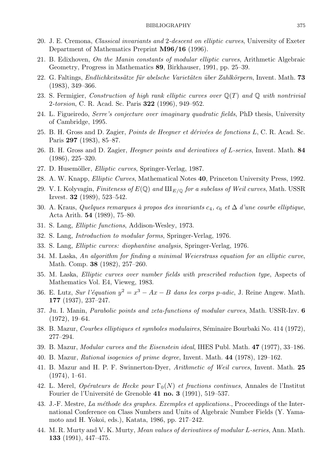- 20. J. E. Cremona, Classical invariants and 2-descent on elliptic curves, University of Exeter Department of Mathematics Preprint M96/16 (1996).
- 21. B. Edixhoven, On the Manin constants of modular elliptic curves, Arithmetic Algebraic Geometry, Progress in Mathematics 89, Birkhauser, 1991, pp. 25–39.
- 22. G. Faltings, *Endlichkeitssätze für abelsche Varietäten über Zahlkörpern*, Invent, Math. 73  $(1983), 349 - 366.$
- 23. S. Fermigier, Construction of high rank elliptic curves over  $\mathbb{Q}(T)$  and  $\mathbb{Q}$  with nontrivial 2-torsion, C. R. Acad. Sc. Paris 322 (1996), 949–952.
- 24. L. Figueiredo, *Serre's conjecture over imaginary quadratic fields*, PhD thesis, University of Cambridge, 1995.
- 25. B. H. Gross and D. Zagier, *Points de Heegner et dérivées de fonctions L*, C. R. Acad. Sc. Paris 297 (1983), 85-87.
- 26. B. H. Gross and D. Zagier, *Heeqner points and derivatives of L-series*, Invent. Math. 84  $(1986), 225 - 320.$
- 27. D. Husemöller, *Elliptic curves*, Springer-Verlag, 1987.
- 28. A. W. Knapp, *Elliptic Curves*, Mathematical Notes 40, Princeton University Press, 1992.
- 29. V. I. Kolyvagin, Finiteness of  $E(\mathbb{Q})$  and  $\amalg_{E/\mathbb{Q}}$  for a subclass of Weil curves, Math. USSR Izvest. 32  $(1989)$ , 523-542.
- 30. A. Kraus, Quelques remarques à propos des invariants  $c_4$ ,  $c_6$  et  $\Delta$  d'une courbe elliptique, Acta Arith.  $54$  (1989), 75–80.
- 31. S. Lang, *Elliptic functions*, Addison-Wesley, 1973.
- 32. S. Lang, *Introduction to modular forms*, Springer-Verlag, 1976.
- 33. S. Lang, *Elliptic curves: diophantine analysis*, Springer-Verlag, 1976.
- 34. M. Laska, An algorithm for finding a minimal Weierstrass equation for an elliptic curve, Math. Comp. 38 (1982), 257-260.
- 35. M. Laska, *Elliptic curves over number fields with prescribed reduction type*, Aspects of Mathematics Vol. E4, Vieweg, 1983.
- 36. E. Lutz, Sur l'équation  $y^2 = x^3 Ax B$  dans les corps p-adic, J. Reine Angew. Math. 177 (1937), 237-247.
- 37. Ju. I. Manin, *Parabolic points and zeta-functions of modular curves*, Math. USSR-Izv. 6  $(1972), 19-64.$
- 38. B. Mazur, *Courbes elliptiques et symboles modulaires*, Séminaire Bourbaki No. 414 (1972),  $277 - 294.$
- 39. B. Mazur, *Modular curves and the Eisenstein ideal*, IHES Publ. Math. 47 (1977), 33–186.
- 40. B. Mazur, *Rational isogenies of prime degree*, Invent. Math. 44 (1978), 129–162.
- 41. B. Mazur and H. P. F. Swinnerton-Dyer, Arithmetic of Weil curves, Invent. Math. 25  $(1974), 1-61.$
- 42. L. Merel, Opérateurs de Hecke pour  $\Gamma_0(N)$  et fractions continues, Annales de l'Institut Fourier de l'Université de Grenoble 41 no. 3 (1991), 519–537.
- 43. J.-F. Mestre, La méthode des graphes. Exemples et applications., Proceedings of the International Conference on Class Numbers and Units of Algebraic Number Fields (Y. Yamamoto and H. Yokoi, eds.), Katata, 1986, pp. 217–242.
- 44. M. R. Murty and V. K. Murty, *Mean values of derivatives of modular L-series*, Ann. Math. **133** (1991), 447-475.